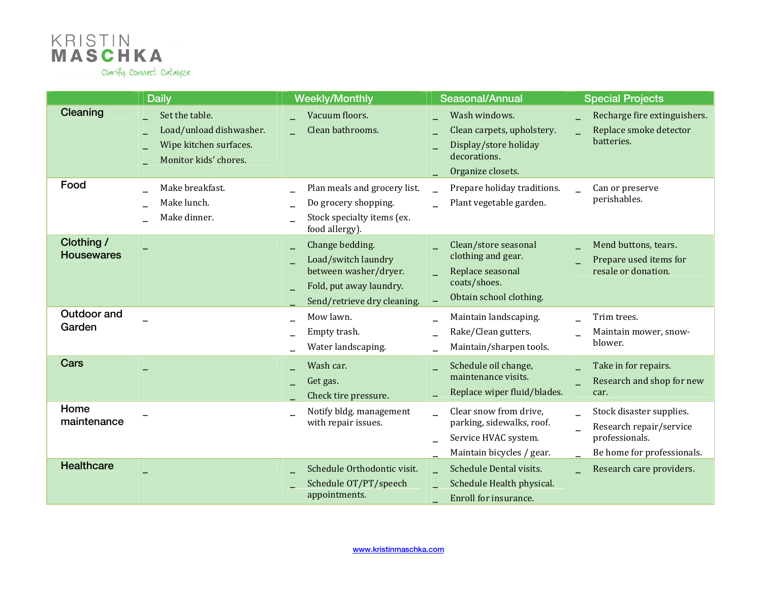

|                                 | <b>Daily</b>                                                                                 | <b>Weekly/Monthly</b>                                                                                                     | Seasonal/Annual                                                                                           | <b>Special Projects</b>                                                                             |
|---------------------------------|----------------------------------------------------------------------------------------------|---------------------------------------------------------------------------------------------------------------------------|-----------------------------------------------------------------------------------------------------------|-----------------------------------------------------------------------------------------------------|
| Cleaning                        | Set the table.<br>Load/unload dishwasher.<br>Wipe kitchen surfaces.<br>Monitor kids' chores. | Vacuum floors.<br>Clean bathrooms.                                                                                        | Wash windows.<br>Clean carpets, upholstery.<br>Display/store holiday<br>decorations.<br>Organize closets. | Recharge fire extinguishers.<br>Replace smoke detector<br>batteries.                                |
| Food                            | Make breakfast.<br>Make lunch.<br>Make dinner.                                               | Plan meals and grocery list.<br>Do grocery shopping.<br>Stock specialty items (ex.<br>food allergy).                      | Prepare holiday traditions.<br>Plant vegetable garden.                                                    | Can or preserve<br>perishables.                                                                     |
| Clothing /<br><b>Housewares</b> |                                                                                              | Change bedding.<br>Load/switch laundry<br>between washer/dryer.<br>Fold, put away laundry.<br>Send/retrieve dry cleaning. | Clean/store seasonal<br>clothing and gear.<br>Replace seasonal<br>coats/shoes.<br>Obtain school clothing. | Mend buttons, tears.<br>Prepare used items for<br>resale or donation.                               |
| Outdoor and<br>Garden           |                                                                                              | Mow lawn.<br>Empty trash.<br>Water landscaping.                                                                           | Maintain landscaping.<br>Rake/Clean gutters.<br>Maintain/sharpen tools.                                   | Trim trees.<br>Maintain mower, snow-<br>blower.                                                     |
| Cars                            |                                                                                              | Wash car.<br>Get gas.<br>Check tire pressure.                                                                             | Schedule oil change,<br>maintenance visits.<br>Replace wiper fluid/blades.                                | Take in for repairs.<br>Research and shop for new<br>car.                                           |
| Home<br>maintenance             |                                                                                              | Notify bldg. management<br>with repair issues.                                                                            | Clear snow from drive,<br>parking, sidewalks, roof.<br>Service HVAC system.<br>Maintain bicycles / gear.  | Stock disaster supplies.<br>Research repair/service<br>professionals.<br>Be home for professionals. |
| <b>Healthcare</b>               |                                                                                              | Schedule Orthodontic visit.<br>Schedule OT/PT/speech<br>appointments.                                                     | Schedule Dental visits.<br>Schedule Health physical.<br>Enroll for insurance.                             | Research care providers.                                                                            |